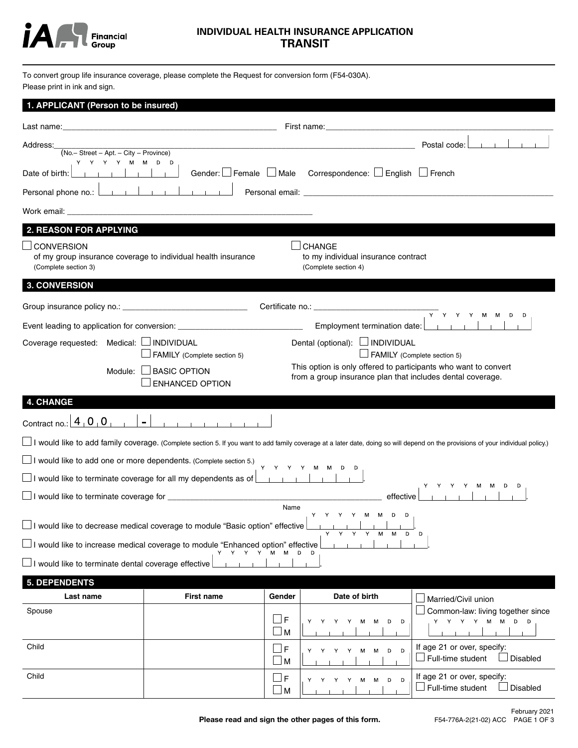

# **INDIVIDUAL HEALTH INSURANCE APPLICATION TRANSIT**

To convert group life insurance coverage, please complete the Request for conversion form (F54-030A). Please print in ink and sign.

| 1. APPLICANT (Person to be insured)                                                                                                         |                                                                                                                                           |                  |                                                                                                                               |                                                                                                                                                                                  |  |
|---------------------------------------------------------------------------------------------------------------------------------------------|-------------------------------------------------------------------------------------------------------------------------------------------|------------------|-------------------------------------------------------------------------------------------------------------------------------|----------------------------------------------------------------------------------------------------------------------------------------------------------------------------------|--|
|                                                                                                                                             |                                                                                                                                           |                  | First name: <b>Example 2018</b>                                                                                               |                                                                                                                                                                                  |  |
| Address:<br>$(No. - Street - Apt. - City - Province)$                                                                                       |                                                                                                                                           |                  | and the control of the control of the control of the control of the control of the control of the control of the              | Postal code:                                                                                                                                                                     |  |
| Y Y Y Y M M D D<br>.                                                                                                                        |                                                                                                                                           |                  | Gender: $\Box$ Female $\Box$ Male Correspondence: $\Box$ English $\Box$ French                                                |                                                                                                                                                                                  |  |
| Date of birth:<br>Personal phone no.: <u>Denote the product</u> of the Personal phone no.: $\frac{1}{2}$                                    |                                                                                                                                           |                  |                                                                                                                               |                                                                                                                                                                                  |  |
|                                                                                                                                             |                                                                                                                                           |                  |                                                                                                                               |                                                                                                                                                                                  |  |
|                                                                                                                                             |                                                                                                                                           |                  |                                                                                                                               |                                                                                                                                                                                  |  |
| <b>2. REASON FOR APPLYING</b>                                                                                                               |                                                                                                                                           |                  |                                                                                                                               |                                                                                                                                                                                  |  |
| <b>CONVERSION</b><br>of my group insurance coverage to individual health insurance<br>(Complete section 3)                                  |                                                                                                                                           |                  | <b>CHANGE</b><br>to my individual insurance contract<br>(Complete section 4)                                                  |                                                                                                                                                                                  |  |
| <b>3. CONVERSION</b>                                                                                                                        |                                                                                                                                           |                  |                                                                                                                               |                                                                                                                                                                                  |  |
|                                                                                                                                             |                                                                                                                                           |                  |                                                                                                                               | $\overline{Y}$ $Y$ $Y$ $Y$ $M$ $M$ $D$ $D$                                                                                                                                       |  |
|                                                                                                                                             | Event leading to application for conversion: ___________________________________                                                          |                  | Employment termination date:                                                                                                  | and the first pro-                                                                                                                                                               |  |
| Coverage requested: Medical: □ INDIVIDUAL                                                                                                   |                                                                                                                                           |                  | Dental (optional): □ INDIVIDUAL                                                                                               |                                                                                                                                                                                  |  |
|                                                                                                                                             | $\Box$ FAMILY (Complete section 5)                                                                                                        |                  |                                                                                                                               | FAMILY (Complete section 5)                                                                                                                                                      |  |
|                                                                                                                                             | Module: $\Box$ BASIC OPTION<br><b>ENHANCED OPTION</b>                                                                                     |                  | This option is only offered to participants who want to convert<br>from a group insurance plan that includes dental coverage. |                                                                                                                                                                                  |  |
| <b>4. CHANGE</b>                                                                                                                            |                                                                                                                                           |                  |                                                                                                                               |                                                                                                                                                                                  |  |
| Contract no.: $\boxed{4}$ $\boxed{0}$ $\boxed{0}$                                                                                           | $\blacksquare$<br><b>Contract of the Contract Contract of the Contract Contract Contract Contract Contract Contract Contract Contract</b> |                  |                                                                                                                               |                                                                                                                                                                                  |  |
|                                                                                                                                             |                                                                                                                                           |                  |                                                                                                                               | I would like to add family coverage. (Complete section 5. If you want to add family coverage at a later date, doing so will depend on the provisions of your individual policy.) |  |
|                                                                                                                                             | $\Box$ I would like to add one or more dependents. (Complete section 5.)                                                                  |                  | Y Y Y Y M M D D                                                                                                               |                                                                                                                                                                                  |  |
|                                                                                                                                             | $\Box$ I would like to terminate coverage for all my dependents as of $\Box$                                                              |                  |                                                                                                                               |                                                                                                                                                                                  |  |
| Y Y Y Y M M D D<br>             <br>$\Box$ I would like to terminate coverage for $\_\_\_\_\_\_\_\_\_\_\_\_\_\_\_\_\_\_\_\_$<br>effective l |                                                                                                                                           |                  |                                                                                                                               |                                                                                                                                                                                  |  |
|                                                                                                                                             |                                                                                                                                           | Name             | V V V V M M D D                                                                                                               |                                                                                                                                                                                  |  |
|                                                                                                                                             | $\Box$ I would like to decrease medical coverage to module "Basic option" effective                                                       |                  | м                                                                                                                             | D<br>$\Box$                                                                                                                                                                      |  |
|                                                                                                                                             | □ I would like to increase medical coverage to module "Enhanced option" effective<br>Y Y Y Y M M                                          |                  |                                                                                                                               |                                                                                                                                                                                  |  |
| $\Box$ I would like to terminate dental coverage effective                                                                                  |                                                                                                                                           |                  |                                                                                                                               |                                                                                                                                                                                  |  |
| <b>5. DEPENDENTS</b>                                                                                                                        |                                                                                                                                           |                  |                                                                                                                               |                                                                                                                                                                                  |  |
| Last name                                                                                                                                   | <b>First name</b>                                                                                                                         | Gender           | Date of birth                                                                                                                 | Married/Civil union                                                                                                                                                              |  |
| Spouse                                                                                                                                      |                                                                                                                                           | F<br>$\Box$ M    | Y<br>D<br>Y<br>Y<br>м<br>м<br>D                                                                                               | Common-law: living together since<br>M<br>M<br>Y Y Y Y<br>D <sub>D</sub>                                                                                                         |  |
| Child                                                                                                                                       |                                                                                                                                           | F<br>⊿ M         | D<br>Y<br>Y<br>м<br>D<br>Υ<br>Y<br>м                                                                                          | If age 21 or over, specify:<br>$\Box$ Full-time student<br>Disabled                                                                                                              |  |
| Child                                                                                                                                       |                                                                                                                                           | _l F<br>$\Box$ M | D<br>D<br>Υ<br>м<br>м                                                                                                         | If age 21 or over, specify:<br>Full-time student<br>Disabled                                                                                                                     |  |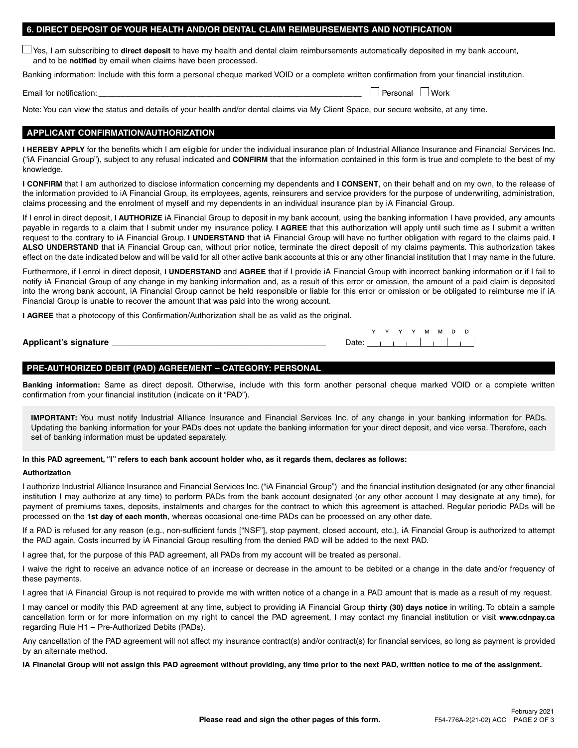## **6. DIRECT DEPOSIT OF YOUR HEALTH AND/OR DENTAL CLAIM REIMBURSEMENTS AND NOTIFICATION**

Yes, I am subscribing to **direct deposit** to have my health and dental claim reimbursements automatically deposited in my bank account, and to be **notified** by email when claims have been processed.

Banking information: Include with this form a personal cheque marked VOID or a complete written confirmation from your financial institution.

Email for notification:  $\Box$  Personal  $\Box$  Work

 $M$   $M$ 

Note: You can view the status and details of your health and/or dental claims via My Client Space, our secure website, at any time.

## **APPLICANT CONFIRMATION/AUTHORIZATION**

**I HEREBY APPLY** for the benefits which I am eligible for under the individual insurance plan of Industrial Alliance Insurance and Financial Services Inc. ("iA Financial Group"), subject to any refusal indicated and **CONFIRM** that the information contained in this form is true and complete to the best of my knowledge.

**I CONFIRM** that I am authorized to disclose information concerning my dependents and **I CONSENT**, on their behalf and on my own, to the release of the information provided to iA Financial Group, its employees, agents, reinsurers and service providers for the purpose of underwriting, administration, claims processing and the enrolment of myself and my dependents in an individual insurance plan by iA Financial Group.

If I enrol in direct deposit, **I AUTHORIZE** iA Financial Group to deposit in my bank account, using the banking information I have provided, any amounts payable in regards to a claim that I submit under my insurance policy. **I AGREE** that this authorization will apply until such time as I submit a written request to the contrary to iA Financial Group. **I UNDERSTAND** that iA Financial Group will have no further obligation with regard to the claims paid. **I ALSO UNDERSTAND** that iA Financial Group can, without prior notice, terminate the direct deposit of my claims payments. This authorization takes effect on the date indicated below and will be valid for all other active bank accounts at this or any other financial institution that I may name in the future.

Furthermore, if I enrol in direct deposit, **I UNDERSTAND** and **AGREE** that if I provide iA Financial Group with incorrect banking information or if I fail to notify iA Financial Group of any change in my banking information and, as a result of this error or omission, the amount of a paid claim is deposited into the wrong bank account, iA Financial Group cannot be held responsible or liable for this error or omission or be obligated to reimburse me if iA Financial Group is unable to recover the amount that was paid into the wrong account.

**I AGREE** that a photocopy of this Confirmation/Authorization shall be as valid as the original.

| Applicant's signature |  |
|-----------------------|--|
|                       |  |

# **PRE-AUTHORIZED DEBIT (PAD) AGREEMENT – CATEGORY: PERSONAL**

**Banking information:** Same as direct deposit. Otherwise, include with this form another personal cheque marked VOID or a complete written confirmation from your financial institution (indicate on it "PAD").

**IMPORTANT:** You must notify Industrial Alliance Insurance and Financial Services Inc. of any change in your banking information for PADs. Updating the banking information for your PADs does not update the banking information for your direct deposit, and vice versa. Therefore, each set of banking information must be updated separately.

#### **In this PAD agreement, "I" refers to each bank account holder who, as it regards them, declares as follows:**

#### **Authorization**

I authorize Industrial Alliance Insurance and Financial Services Inc. ("iA Financial Group") and the financial institution designated (or any other financial institution I may authorize at any time) to perform PADs from the bank account designated (or any other account I may designate at any time), for payment of premiums taxes, deposits, instalments and charges for the contract to which this agreement is attached. Regular periodic PADs will be processed on the **1st day of each month**, whereas occasional one-time PADs can be processed on any other date.

If a PAD is refused for any reason (e.g., non-sufficient funds ["NSF"], stop payment, closed account, etc.), iA Financial Group is authorized to attempt the PAD again. Costs incurred by iA Financial Group resulting from the denied PAD will be added to the next PAD.

I agree that, for the purpose of this PAD agreement, all PADs from my account will be treated as personal.

I waive the right to receive an advance notice of an increase or decrease in the amount to be debited or a change in the date and/or frequency of these payments.

I agree that iA Financial Group is not required to provide me with written notice of a change in a PAD amount that is made as a result of my request.

I may cancel or modify this PAD agreement at any time, subject to providing iA Financial Group **thirty (30) days notice** in writing. To obtain a sample cancellation form or for more information on my right to cancel the PAD agreement, I may contact my financial institution or visit **[www.cdnpay.ca](http://www.cdnpay.ca)** regarding Rule H1 – Pre-Authorized Debits (PADs).

Any cancellation of the PAD agreement will not affect my insurance contract(s) and/or contract(s) for financial services, so long as payment is provided by an alternate method.

#### **iA Financial Group will not assign this PAD agreement without providing, any time prior to the next PAD, written notice to me of the assignment.**